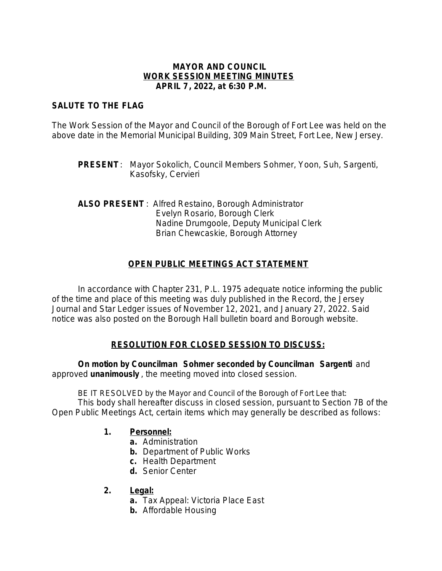### **MAYOR AND COUNCIL WORK SESSION MEETING MINUTES APRIL 7, 2022, at 6:30 P.M.**

# **SALUTE TO THE FLAG**

The Work Session of the Mayor and Council of the Borough of Fort Lee was held on the above date in the Memorial Municipal Building, 309 Main Street, Fort Lee, New Jersey.

**PRESENT**: Mayor Sokolich, Council Members Sohmer, Yoon, Suh, Sargenti, Kasofsky, Cervieri

**ALSO PRESENT** : Alfred Restaino, Borough Administrator Evelyn Rosario, Borough Clerk Nadine Drumgoole, Deputy Municipal Clerk Brian Chewcaskie, Borough Attorney

# **OPEN PUBLIC MEETINGS ACT STATEMENT**

In accordance with Chapter 231, P.L. 1975 adequate notice informing the public of the time and place of this meeting was duly published in the Record, the Jersey Journal and Star Ledger issues of November 12, 2021, and January 27, 2022. Said notice was also posted on the Borough Hall bulletin board and Borough website.

## **RESOLUTION FOR CLOSED SESSION TO DISCUSS:**

**On motion by Councilman Sohmer seconded by Councilman Sargenti** and approved **unanimously** , the meeting moved into closed session.

BE IT RESOLVED by the Mayor and Council of the Borough of Fort Lee that: This body shall hereafter discuss in closed session, pursuant to Section 7B of the Open Public Meetings Act, certain items which may generally be described as follows:

## **1. Personnel:**

- **a.** Administration
- **b.** Department of Public Works
- **c.** Health Department
- **d.** Senior Center
- **2. Legal:**
	- **a.** Tax Appeal: Victoria Place East
	- **b.** Affordable Housing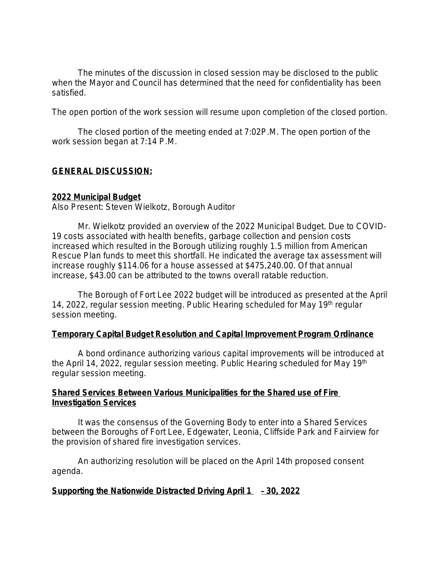The minutes of the discussion in closed session may be disclosed to the public when the Mayor and Council has determined that the need for confidentiality has been satisfied.

The open portion of the work session will resume upon completion of the closed portion.

The closed portion of the meeting ended at 7:02P.M. The open portion of the work session began at 7:14 P.M.

# **GENERAL DISCUSSION:**

### **2022 Municipal Budget**

Also Present: Steven Wielkotz, Borough Auditor

Mr. Wielkotz provided an overview of the 2022 Municipal Budget. Due to COVID-19 costs associated with health benefits, garbage collection and pension costs increased which resulted in the Borough utilizing roughly 1.5 million from American Rescue Plan funds to meet this shortfall. He indicated the average tax assessment will increase roughly \$114.06 for a house assessed at \$475,240.00. Of that annual increase, \$43.00 can be attributed to the towns overall ratable reduction.

The Borough of Fort Lee 2022 budget will be introduced as presented at the April 14, 2022, regular session meeting. Public Hearing scheduled for May 19<sup>th</sup> regular session meeting.

#### **Temporary Capital Budget Resolution and Capital Improvement Program Ordinance**

A bond ordinance authorizing various capital improvements will be introduced at the April 14, 2022, regular session meeting. Public Hearing scheduled for May 19th regular session meeting.

### **Shared Services Between Various Municipalities for the Shared use of Fire Investigation Services**

It was the consensus of the Governing Body to enter into a Shared Services between the Boroughs of Fort Lee, Edgewater, Leonia, Cliffside Park and Fairview for the provision of shared fire investigation services.

An authorizing resolution will be placed on the April 14th proposed consent agenda.

## **Supporting the Nationwide Distracted Driving April 1** – **30, 2022**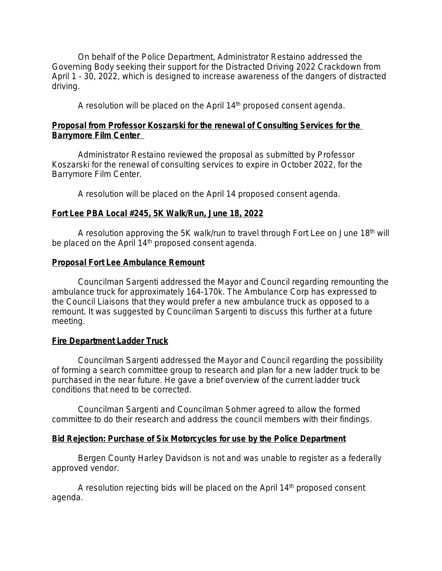On behalf of the Police Department, Administrator Restaino addressed the Governing Body seeking their support for the Distracted Driving 2022 Crackdown from April 1 - 30, 2022, which is designed to increase awareness of the dangers of distracted driving.

A resolution will be placed on the April 14<sup>th</sup> proposed consent agenda.

## **Proposal from Professor Koszarski for the renewal of Consulting Services for the Barrymore Film Center**

Administrator Restaino reviewed the proposal as submitted by Professor Koszarski for the renewal of consulting services to expire in October 2022, for the Barrymore Film Center.

A resolution will be placed on the April 14 proposed consent agenda.

# **Fort Lee PBA Local #245, 5K Walk/Run, June 18, 2022**

A resolution approving the 5K walk/run to travel through Fort Lee on June 18th will be placed on the April 14<sup>th</sup> proposed consent agenda.

## **Proposal Fort Lee Ambulance Remount**

Councilman Sargenti addressed the Mayor and Council regarding remounting the ambulance truck for approximately 164-170k. The Ambulance Corp has expressed to the Council Liaisons that they would prefer a new ambulance truck as opposed to a remount. It was suggested by Councilman Sargenti to discuss this further at a future meeting.

## **Fire Department Ladder Truck**

Councilman Sargenti addressed the Mayor and Council regarding the possibility of forming a search committee group to research and plan for a new ladder truck to be purchased in the near future. He gave a brief overview of the current ladder truck conditions that need to be corrected.

Councilman Sargenti and Councilman Sohmer agreed to allow the formed committee to do their research and address the council members with their findings.

# **Bid Rejection: Purchase of Six Motorcycles for use by the Police Department**

Bergen County Harley Davidson is not and was unable to register as a federally approved vendor.

A resolution rejecting bids will be placed on the April 14<sup>th</sup> proposed consent agenda.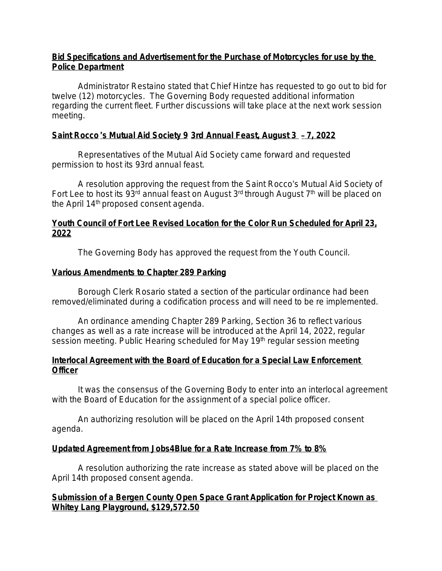## **Bid Specifications and Advertisement for the Purchase of Motorcycles for use by the Police Department**

Administrator Restaino stated that Chief Hintze has requested to go out to bid for twelve (12) motorcycles. The Governing Body requested additional information regarding the current fleet. Further discussions will take place at the next work session meeting.

# **Saint Rocco** '**s Mutual Aid Society 9 3rd Annual Feast, August 3** – **7, 2022**

Representatives of the Mutual Aid Society came forward and requested permission to host its 93rd annual feast.

A resolution approving the request from the Saint Rocco's Mutual Aid Society of Fort Lee to host its 93<sup>rd</sup> annual feast on August 3<sup>rd</sup> through August 7<sup>th</sup> will be placed on the April 14<sup>th</sup> proposed consent agenda.

## **Youth Council of Fort Lee Revised Location for the Color Run Scheduled for April 23, 2022**

The Governing Body has approved the request from the Youth Council.

## **Various Amendments to Chapter 289 Parking**

Borough Clerk Rosario stated a section of the particular ordinance had been removed/eliminated during a codification process and will need to be re implemented.

An ordinance amending Chapter 289 Parking, Section 36 to reflect various changes as well as a rate increase will be introduced at the April 14, 2022, regular session meeting. Public Hearing scheduled for May 19th regular session meeting

## **Interlocal Agreement with the Board of Education for a Special Law Enforcement Officer**

It was the consensus of the Governing Body to enter into an interlocal agreement with the Board of Education for the assignment of a special police officer.

An authorizing resolution will be placed on the April 14th proposed consent agenda.

# **Updated Agreement from Jobs4Blue for a Rate Increase from 7% to 8%**

A resolution authorizing the rate increase as stated above will be placed on the April 14th proposed consent agenda.

# **Submission of a Bergen County Open Space Grant Application for Project Known as Whitey Lang Playground, \$129,572.50**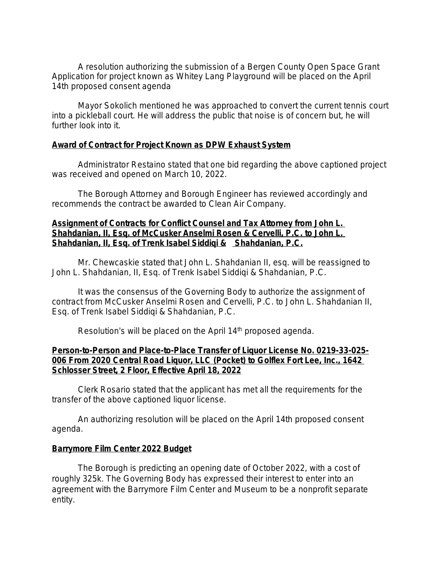A resolution authorizing the submission of a Bergen County Open Space Grant Application for project known as Whitey Lang Playground will be placed on the April 14th proposed consent agenda

Mayor Sokolich mentioned he was approached to convert the current tennis court into a pickleball court. He will address the public that noise is of concern but, he will further look into it.

### **Award of Contract for Project Known as DPW Exhaust System**

Administrator Restaino stated that one bid regarding the above captioned project was received and opened on March 10, 2022.

The Borough Attorney and Borough Engineer has reviewed accordingly and recommends the contract be awarded to Clean Air Company.

### **Assignment of Contracts for Conflict Counsel and Tax Attorney from John L. Shahdanian, II, Esq. of McCusker Anselmi Rosen & Cervelli, P.C. to John L. Shahdanian, II, Esq. of Trenk Isabel Siddiqi & Shahdanian, P.C.**

Mr. Chewcaskie stated that John L. Shahdanian II, esq. will be reassigned to John L. Shahdanian, II, Esq. of Trenk Isabel Siddiqi & Shahdanian, P.C.

It was the consensus of the Governing Body to authorize the assignment of contract from McCusker Anselmi Rosen and Cervelli, P.C. to John L. Shahdanian II, Esq. of Trenk Isabel Siddiqi & Shahdanian, P.C.

Resolution's will be placed on the April 14<sup>th</sup> proposed agenda.

### **Person-to-Person and Place-to-Place Transfer of Liquor License No. 0219-33-025- 006 From 2020 Central Road Liquor, LLC (Pocket) to Golflex Fort Lee, Inc., 1642 Schlosser Street, 2 Floor, Effective April 18, 2022**

Clerk Rosario stated that the applicant has met all the requirements for the transfer of the above captioned liquor license.

An authorizing resolution will be placed on the April 14th proposed consent agenda.

## **Barrymore Film Center 2022 Budget**

The Borough is predicting an opening date of October 2022, with a cost of roughly 325k. The Governing Body has expressed their interest to enter into an agreement with the Barrymore Film Center and Museum to be a nonprofit separate entity.